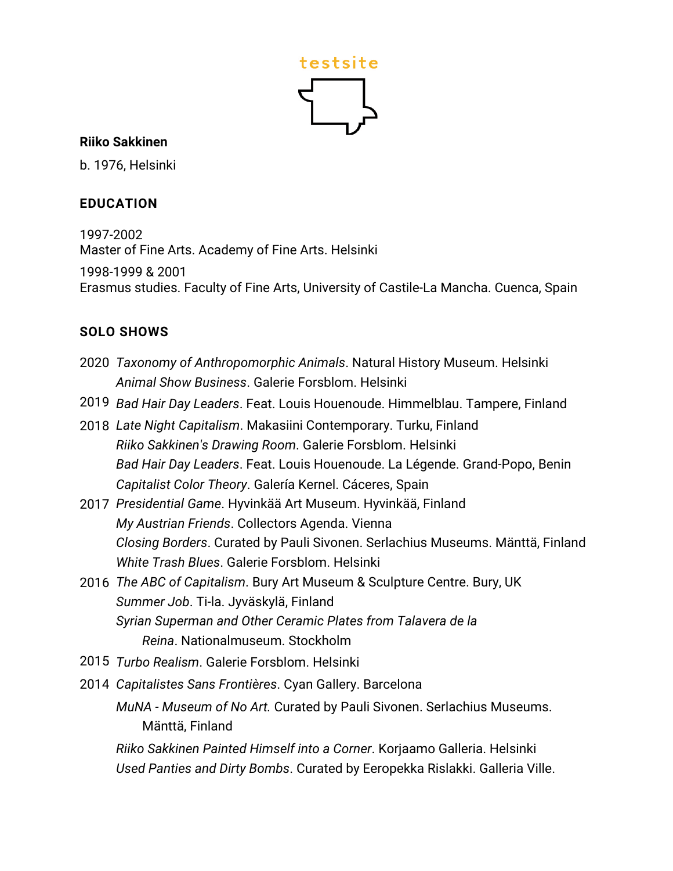

#### **Riiko Sakkinen**

b. 1976, Helsinki

#### **EDUCATION**

1997-2002 Master of Fine Arts. Academy of Fine Arts. Helsinki 1998-1999 & 2001 Erasmus studies. Faculty of Fine Arts, University of Castile-La Mancha. Cuenca, Spain

#### **SOLO SHOWS**

- 2020 *Taxonomy of Anthropomorphic Animals*. Natural History Museum. Helsinki *Animal Show Business*. Galerie Forsblom. Helsinki
- 2019 *Bad Hair Day Leaders*. Feat. Louis Houenoude. Himmelblau. Tampere, Finland
- 2018 *Late Night Capitalism*. Makasiini Contemporary. Turku, Finland *Riiko Sakkinen's Drawing Room*. Galerie Forsblom. Helsinki *Bad Hair Day Leaders*. Feat. Louis Houenoude. La Légende. Grand-Popo, Benin *Capitalist Color Theory*. Galería Kernel. Cáceres, Spain
- 2017 *Presidential Game*. Hyvinkää Art Museum. Hyvinkää, Finland *My Austrian Friends*. Collectors Agenda. Vienna *Closing Borders*. Curated by Pauli Sivonen. Serlachius Museums. Mänttä, Finland *White Trash Blues*. Galerie Forsblom. Helsinki
- 2016 *The ABC of Capitalism*. Bury Art Museum & Sculpture Centre. Bury, UK *Summer Job*. Ti-la. Jyväskylä, Finland *Syrian Superman and Other Ceramic Plates from Talavera de la Reina*. Nationalmuseum. Stockholm
- 2015 *Turbo Realism*. Galerie Forsblom. Helsinki
- 2014 *Capitalistes Sans Frontières*. Cyan Gallery. Barcelona
	- *MuNA - Museum of No Art.* Curated by Pauli Sivonen. Serlachius Museums. Mänttä, Finland

*Riiko Sakkinen Painted Himself into a Corner*. Korjaamo Galleria. Helsinki *Used Panties and Dirty Bombs*. Curated by Eeropekka Rislakki. Galleria Ville.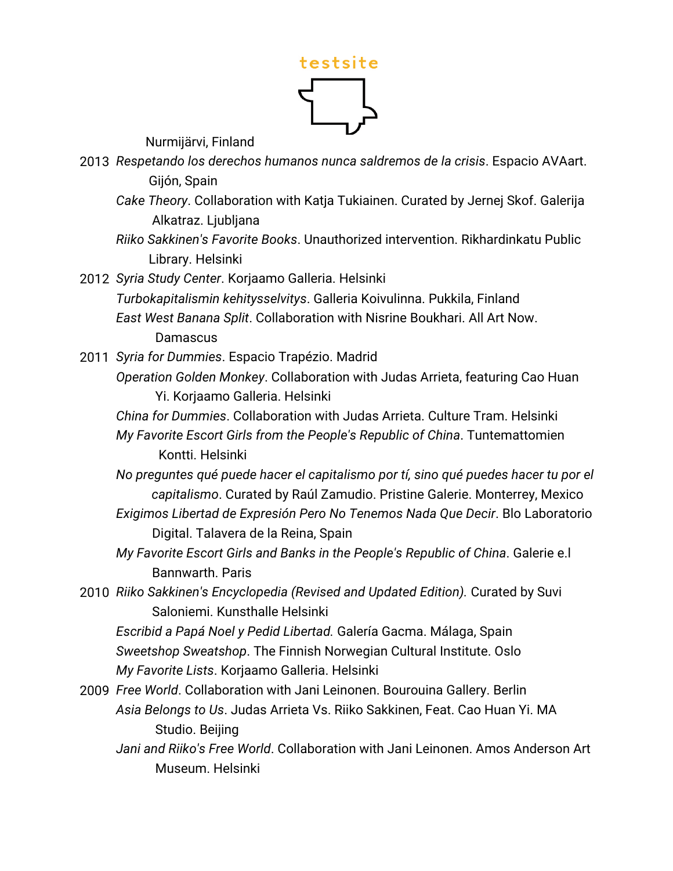

Nurmijärvi, Finland

- 2013 *Respetando los derechos humanos nunca saldremos de la crisis*. Espacio AVAart. Gijón, Spain
	- *Cake Theory*. Collaboration with Katja Tukiainen. Curated by Jernej Skof. Galerija Alkatraz. Ljubljana
	- *Riiko Sakkinen's Favorite Books*. Unauthorized intervention. Rikhardinkatu Public Library. Helsinki
- 2012 *Syria Study Center*. Korjaamo Galleria. Helsinki *Turbokapitalismin kehitysselvitys*. Galleria Koivulinna. Pukkila, Finland *East West Banana Split*. Collaboration with Nisrine Boukhari. All Art Now. **Damascus**
- 2011 *Syria for Dummies*. Espacio Trapézio. Madrid
	- *Operation Golden Monkey*. Collaboration with Judas Arrieta, featuring Cao Huan Yi. Korjaamo Galleria. Helsinki
		- *China for Dummies*. Collaboration with Judas Arrieta. Culture Tram. Helsinki *My Favorite Escort Girls from the People's Republic of China*. Tuntemattomien Kontti. Helsinki
		- *No preguntes qué puede hacer el capitalismo por tí, sino qué puedes hacer tu por el capitalismo*. Curated by Raúl Zamudio. Pristine Galerie. Monterrey, Mexico
		- *Exigimos Libertad de Expresión Pero No Tenemos Nada Que Decir*. Blo Laboratorio Digital. Talavera de la Reina, Spain
		- *My Favorite Escort Girls and Banks in the People's Republic of China*. Galerie e.l Bannwarth. Paris
- 2010 *Riiko Sakkinen's Encyclopedia (Revised and Updated Edition).* Curated by Suvi Saloniemi. Kunsthalle Helsinki
	- *Escribid a Papá Noel y Pedid Libertad.* Galería Gacma. Málaga, Spain *Sweetshop Sweatshop*. The Finnish Norwegian Cultural Institute. Oslo *My Favorite Lists*. Korjaamo Galleria. Helsinki
- 2009 *Free World*. Collaboration with Jani Leinonen. Bourouina Gallery. Berlin *Asia Belongs to Us*. Judas Arrieta Vs. Riiko Sakkinen, Feat. Cao Huan Yi. MA Studio. Beijing
	- *Jani and Riiko's Free World*. Collaboration with Jani Leinonen. Amos Anderson Art Museum. Helsinki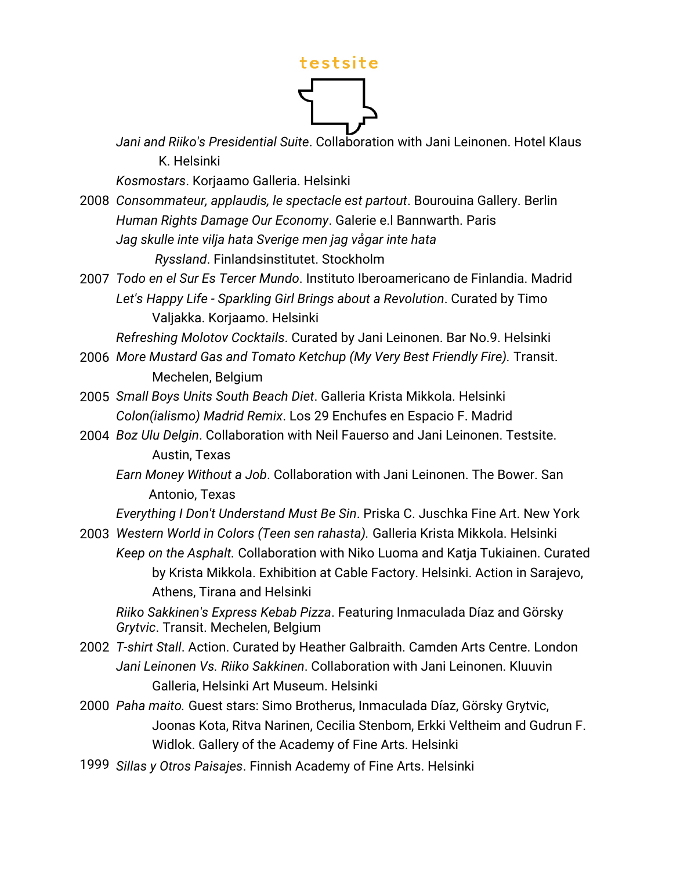

*Jani and Riiko's Presidential Suite*. Collaboration with Jani Leinonen. Hotel Klaus K. Helsinki

*Kosmostars*. Korjaamo Galleria. Helsinki

- 2008 *Consommateur, applaudis, le spectacle est partout*. Bourouina Gallery. Berlin *Human Rights Damage Our Economy*. Galerie e.l Bannwarth. Paris *Jag skulle inte vilja hata Sverige men jag vågar inte hata Ryssland*. Finlandsinstitutet. Stockholm
- 2007 *Todo en el Sur Es Tercer Mundo*. Instituto Iberoamericano de Finlandia. Madrid *Let's Happy Life - Sparkling Girl Brings about a Revolution*. Curated by Timo Valjakka. Korjaamo. Helsinki

*Refreshing Molotov Cocktails*. Curated by Jani Leinonen. Bar No.9. Helsinki

- 2006 *More Mustard Gas and Tomato Ketchup (My Very Best Friendly Fire).* Transit. Mechelen, Belgium
- 2005 *Small Boys Units South Beach Diet*. Galleria Krista Mikkola. Helsinki *Colon(ialismo) Madrid Remix*. Los 29 Enchufes en Espacio F. Madrid
- 2004 *Boz Ulu Delgin*. Collaboration with Neil Fauerso and Jani Leinonen. Testsite. Austin, Texas
	- *Earn Money Without a Job*. Collaboration with Jani Leinonen. The Bower. San Antonio, Texas

*Everything I Don't Understand Must Be Sin*. Priska C. Juschka Fine Art. New York

2003 *Western World in Colors (Teen sen rahasta).* Galleria Krista Mikkola. Helsinki *Keep on the Asphalt.* Collaboration with Niko Luoma and Katja Tukiainen. Curated by Krista Mikkola. Exhibition at Cable Factory. Helsinki. Action in Sarajevo, Athens, Tirana and Helsinki

*Riiko Sakkinen's Express Kebab Pizza*. Featuring Inmaculada Díaz and Görsky *Grytvic*. Transit. Mechelen, Belgium

- 2002 *T-shirt Stall*. Action. Curated by Heather Galbraith. Camden Arts Centre. London *Jani Leinonen Vs. Riiko Sakkinen*. Collaboration with Jani Leinonen. Kluuvin Galleria, Helsinki Art Museum. Helsinki
- 2000 *Paha maito.* Guest stars: Simo Brotherus, Inmaculada Díaz, Görsky Grytvic, Joonas Kota, Ritva Narinen, Cecilia Stenbom, Erkki Veltheim and Gudrun F. Widlok. Gallery of the Academy of Fine Arts. Helsinki
- 1999 *Sillas y Otros Paisajes*. Finnish Academy of Fine Arts. Helsinki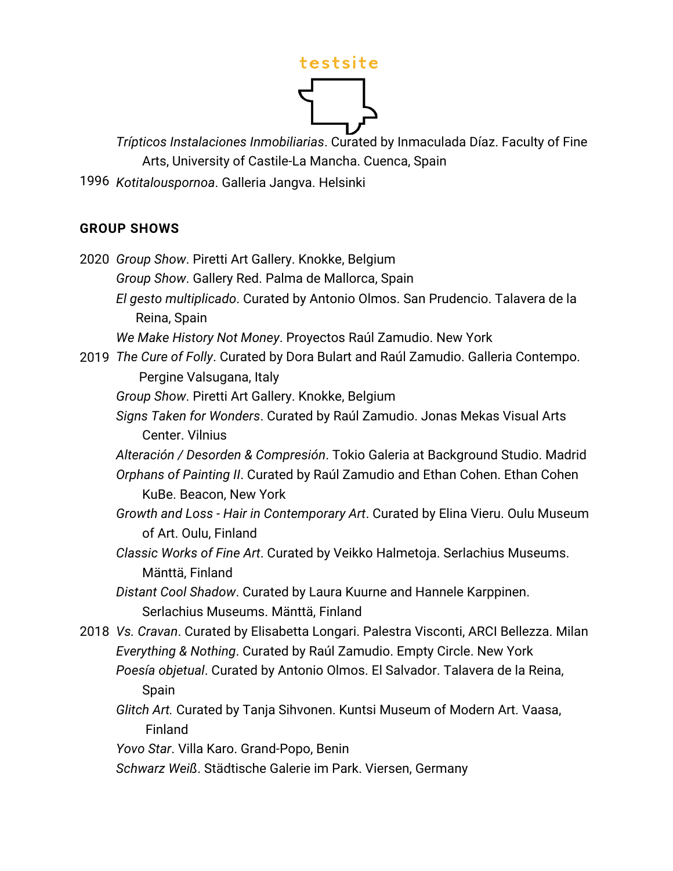*Trípticos Instalaciones Inmobiliarias*. Curated by Inmaculada Díaz. Faculty of Fine Arts, University of Castile-La Mancha. Cuenca, Spain

1996 *Kotitalouspornoa*. Galleria Jangva. Helsinki

#### **GROUP SHOWS**

2020 *Group Show*. Piretti Art Gallery. Knokke, Belgium *Group Show*. Gallery Red. Palma de Mallorca, Spain *El gesto multiplicado*. Curated by Antonio Olmos. San Prudencio. Talavera de la Reina, Spain *We Make History Not Money*. Proyectos Raúl Zamudio. New York 2019 *The Cure of Folly*. Curated by Dora Bulart and Raúl Zamudio. Galleria Contempo. Pergine Valsugana, Italy *Group Show*. Piretti Art Gallery. Knokke, Belgium *Signs Taken for Wonders*. Curated by Raúl Zamudio. Jonas Mekas Visual Arts Center. Vilnius *Alteración / Desorden & Compresión*. Tokio Galeria at Background Studio. Madrid *Orphans of Painting II*. Curated by Raúl Zamudio and Ethan Cohen. Ethan Cohen KuBe. Beacon, New York *Growth and Loss - Hair in Contemporary Art*. Curated by Elina Vieru. Oulu Museum of Art. Oulu, Finland *Classic Works of Fine Art*. Curated by Veikko Halmetoja. Serlachius Museums. Mänttä, Finland *Distant Cool Shadow*. Curated by Laura Kuurne and Hannele Karppinen. Serlachius Museums. Mänttä, Finland 2018 *Vs. Cravan*. Curated by Elisabetta Longari. Palestra Visconti, ARCI Bellezza. Milan *Everything & Nothing*. Curated by Raúl Zamudio. Empty Circle. New York *Poesía objetual*. Curated by Antonio Olmos. El Salvador. Talavera de la Reina, Spain *Glitch Art.* Curated by Tanja Sihvonen. Kuntsi Museum of Modern Art. Vaasa, Finland *Yovo Star*. Villa Karo. Grand-Popo, Benin *Schwarz Weiß*. Städtische Galerie im Park. Viersen, Germany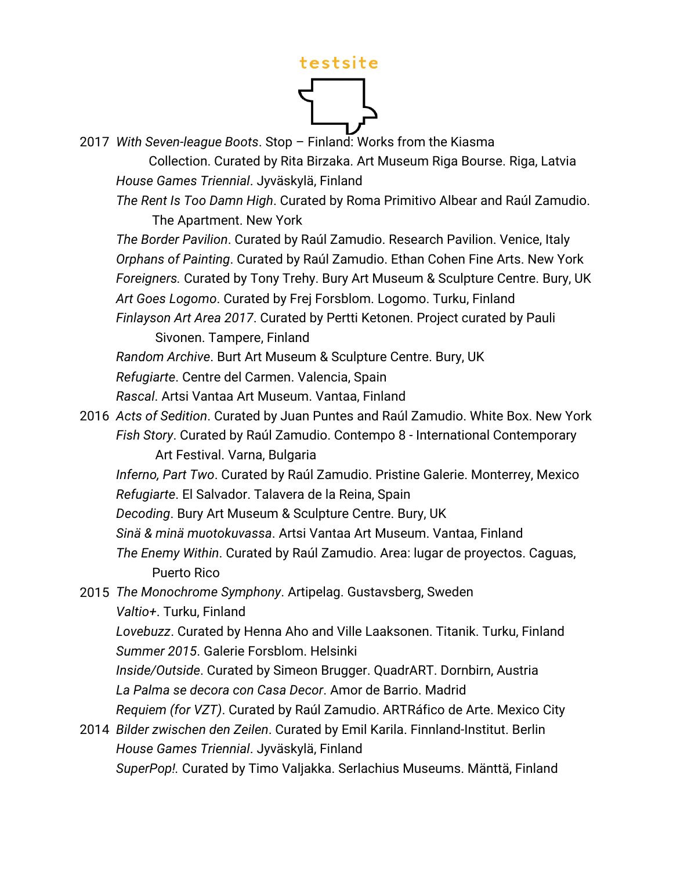2017 *With Seven-league Boots*. Stop – Finland: Works from the Kiasma

 Collection. Curated by Rita Birzaka. Art Museum Riga Bourse. Riga, Latvia *House Games Triennial*. Jyväskylä, Finland

*The Rent Is Too Damn High*. Curated by Roma Primitivo Albear and Raúl Zamudio. The Apartment. New York

*The Border Pavilion*. Curated by Raúl Zamudio. Research Pavilion. Venice, Italy *Orphans of Painting*. Curated by Raúl Zamudio. Ethan Cohen Fine Arts. New York *Foreigners.* Curated by Tony Trehy. Bury Art Museum & Sculpture Centre. Bury, UK *Art Goes Logomo*. Curated by Frej Forsblom. Logomo. Turku, Finland *Finlayson Art Area 2017*. Curated by Pertti Ketonen. Project curated by Pauli

Sivonen. Tampere, Finland

*Random Archive*. Burt Art Museum & Sculpture Centre. Bury, UK

*Refugiarte*. Centre del Carmen. Valencia, Spain

*Rascal*. Artsi Vantaa Art Museum. Vantaa, Finland

2016 *Acts of Sedition*. Curated by Juan Puntes and Raúl Zamudio. White Box. New York *Fish Story*. Curated by Raúl Zamudio. Contempo 8 - International Contemporary Art Festival. Varna, Bulgaria

*Inferno, Part Two*. Curated by Raúl Zamudio. Pristine Galerie. Monterrey, Mexico *Refugiarte*. El Salvador. Talavera de la Reina, Spain

*Decoding*. Bury Art Museum & Sculpture Centre. Bury, UK

*Sinä & minä muotokuvassa*. Artsi Vantaa Art Museum. Vantaa, Finland

*The Enemy Within*. Curated by Raúl Zamudio. Area: lugar de proyectos. Caguas, Puerto Rico

2015 *The Monochrome Symphony*. Artipelag. Gustavsberg, Sweden *Valtio+*. Turku, Finland

*Lovebuzz*. Curated by Henna Aho and Ville Laaksonen. Titanik. Turku, Finland *Summer 2015*. Galerie Forsblom. Helsinki

*Inside/Outside*. Curated by Simeon Brugger. QuadrART. Dornbirn, Austria *La Palma se decora con Casa Decor*. Amor de Barrio. Madrid

*Requiem (for VZT)*. Curated by Raúl Zamudio. ARTRáfico de Arte. Mexico City

2014 *Bilder zwischen den Zeilen*. Curated by Emil Karila. Finnland-Institut. Berlin *House Games Triennial*. Jyväskylä, Finland

*SuperPop!.* Curated by Timo Valjakka. Serlachius Museums. Mänttä, Finland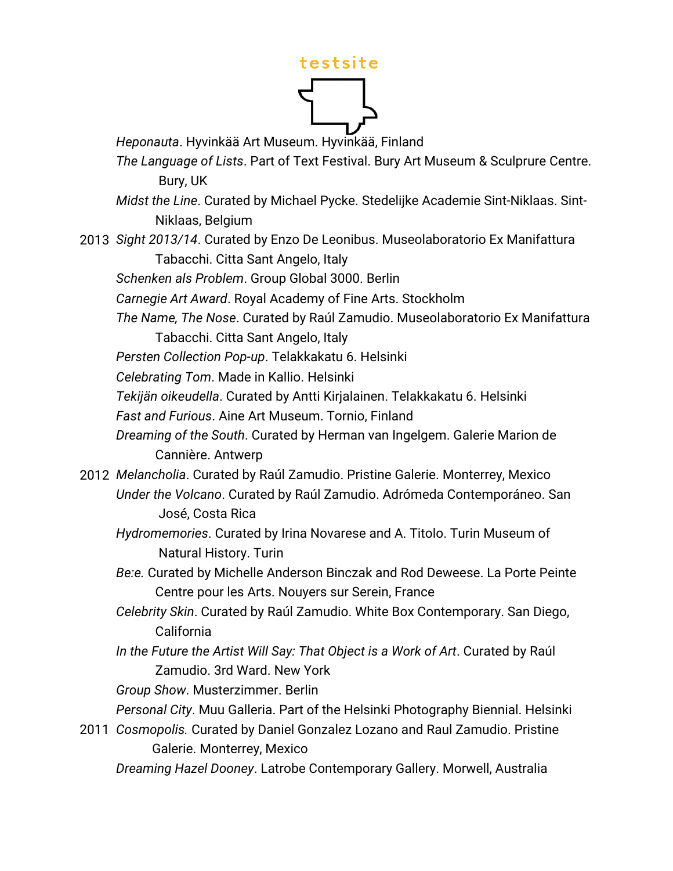*Heponauta*. Hyvinkää Art Museum. Hyvinkää, Finland

- *The Language of Lists*. Part of Text Festival. Bury Art Museum & Sculprure Centre. Bury, UK
- *Midst the Line*. Curated by Michael Pycke. Stedelijke Academie Sint-Niklaas. Sint- Niklaas, Belgium
- 2013 *Sight 2013/14*. Curated by Enzo De Leonibus. Museolaboratorio Ex Manifattura Tabacchi. Citta Sant Angelo, Italy

*Schenken als Problem*. Group Global 3000. Berlin

*Carnegie Art Award*. Royal Academy of Fine Arts. Stockholm

*The Name, The Nose*. Curated by Raúl Zamudio. Museolaboratorio Ex Manifattura Tabacchi. Citta Sant Angelo, Italy

*Persten Collection Pop-up*. Telakkakatu 6. Helsinki

*Celebrating Tom*. Made in Kallio. Helsinki

*Tekijän oikeudella*. Curated by Antti Kirjalainen. Telakkakatu 6. Helsinki

*Fast and Furious*. Aine Art Museum. Tornio, Finland

*Dreaming of the South*. Curated by Herman van Ingelgem. Galerie Marion de Cannière. Antwerp

- 2012 *Melancholia*. Curated by Raúl Zamudio. Pristine Galerie. Monterrey, Mexico *Under the Volcano*. Curated by Raúl Zamudio. Adrómeda Contemporáneo. San José, Costa Rica
	- *Hydromemories*. Curated by Irina Novarese and A. Titolo. Turin Museum of Natural History. Turin
	- *Be:e.* Curated by Michelle Anderson Binczak and Rod Deweese. La Porte Peinte Centre pour les Arts. Nouyers sur Serein, France
	- *Celebrity Skin*. Curated by Raúl Zamudio. White Box Contemporary. San Diego, California
	- *In the Future the Artist Will Say: That Object is a Work of Art*. Curated by Raúl Zamudio. 3rd Ward. New York

*Group Show*. Musterzimmer. Berlin

*Personal City*. Muu Galleria. Part of the Helsinki Photography Biennial. Helsinki

2011 *Cosmopolis.* Curated by Daniel Gonzalez Lozano and Raul Zamudio. Pristine Galerie. Monterrey, Mexico

*Dreaming Hazel Dooney*. Latrobe Contemporary Gallery. Morwell, Australia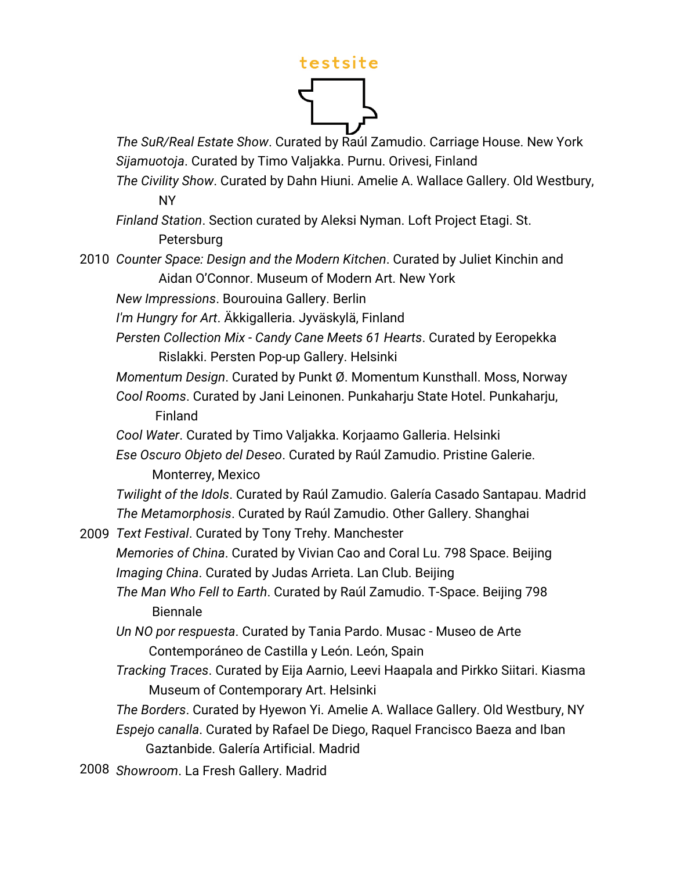*The SuR/Real Estate Show*. Curated by Raúl Zamudio. Carriage House. New York *Sijamuotoja*. Curated by Timo Valjakka. Purnu. Orivesi, Finland

*The Civility Show*. Curated by Dahn Hiuni. Amelie A. Wallace Gallery. Old Westbury, NY

*Finland Station*. Section curated by Aleksi Nyman. Loft Project Etagi. St. Petersburg

2010 *Counter Space: Design and the Modern Kitchen*. Curated by Juliet Kinchin and Aidan O'Connor. Museum of Modern Art. New York

*New Impressions*. Bourouina Gallery. Berlin

*I'm Hungry for Art*. Äkkigalleria. Jyväskylä, Finland

*Persten Collection Mix - Candy Cane Meets 61 Hearts*. Curated by Eeropekka Rislakki. Persten Pop-up Gallery. Helsinki

*Momentum Design*. Curated by Punkt Ø. Momentum Kunsthall. Moss, Norway

*Cool Rooms*. Curated by Jani Leinonen. Punkaharju State Hotel. Punkaharju, Finland

*Cool Water*. Curated by Timo Valjakka. Korjaamo Galleria. Helsinki

*Ese Oscuro Objeto del Deseo*. Curated by Raúl Zamudio. Pristine Galerie. Monterrey, Mexico

*Twilight of the Idols*. Curated by Raúl Zamudio. Galería Casado Santapau. Madrid *The Metamorphosis*. Curated by Raúl Zamudio. Other Gallery. Shanghai

2009 *Text Festival*. Curated by Tony Trehy. Manchester *Memories of China*. Curated by Vivian Cao and Coral Lu. 798 Space. Beijing *Imaging China*. Curated by Judas Arrieta. Lan Club. Beijing *The Man Who Fell to Earth*. Curated by Raúl Zamudio. T-Space. Beijing 798

 Biennale *Un NO por respuesta*. Curated by Tania Pardo. Musac - Museo de Arte

Contemporáneo de Castilla y León. León, Spain

*Tracking Traces*. Curated by Eija Aarnio, Leevi Haapala and Pirkko Siitari. Kiasma Museum of Contemporary Art. Helsinki

*The Borders*. Curated by Hyewon Yi. Amelie A. Wallace Gallery. Old Westbury, NY *Espejo canalla*. Curated by Rafael De Diego, Raquel Francisco Baeza and Iban Gaztanbide. Galería Artificial. Madrid

2008 *Showroom*. La Fresh Gallery. Madrid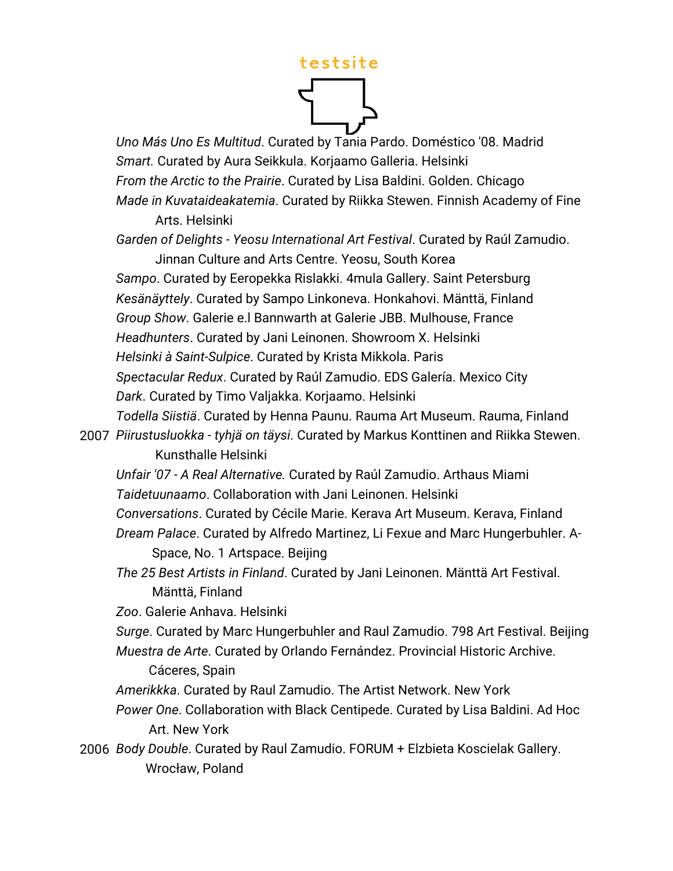

*Uno Más Uno Es Multitud*. Curated by Tania Pardo. Doméstico '08. Madrid *Smart.* Curated by Aura Seikkula. Korjaamo Galleria. Helsinki *From the Arctic to the Prairie*. Curated by Lisa Baldini. Golden. Chicago *Made in Kuvataideakatemia*. Curated by Riikka Stewen. Finnish Academy of Fine Arts. Helsinki

*Garden of Delights - Yeosu International Art Festival*. Curated by Raúl Zamudio.

 Jinnan Culture and Arts Centre. Yeosu, South Korea *Sampo*. Curated by Eeropekka Rislakki. 4mula Gallery. Saint Petersburg *Kesänäyttely*. Curated by Sampo Linkoneva. Honkahovi. Mänttä, Finland *Group Show*. Galerie e.l Bannwarth at Galerie JBB. Mulhouse, France *Headhunters*. Curated by Jani Leinonen. Showroom X. Helsinki *Helsinki à Saint-Sulpice*. Curated by Krista Mikkola. Paris *Spectacular Redux*. Curated by Raúl Zamudio. EDS Galería. Mexico City *Dark*. Curated by Timo Valjakka. Korjaamo. Helsinki

*Todella Siistiä*. Curated by Henna Paunu. Rauma Art Museum. Rauma, Finland 2007 *Piirustusluokka - tyhjä on täysi*. Curated by Markus Konttinen and Riikka Stewen. Kunsthalle Helsinki

*Unfair '07 - A Real Alternative.* Curated by Raúl Zamudio. Arthaus Miami *Taidetuunaamo*. Collaboration with Jani Leinonen. Helsinki

*Conversations*. Curated by Cécile Marie. Kerava Art Museum. Kerava, Finland *Dream Palace*. Curated by Alfredo Martinez, Li Fexue and Marc Hungerbuhler. A-

Space, No. 1 Artspace. Beijing

*The 25 Best Artists in Finland*. Curated by Jani Leinonen. Mänttä Art Festival. Mänttä, Finland

*Zoo*. Galerie Anhava. Helsinki

*Surge*. Curated by Marc Hungerbuhler and Raul Zamudio. 798 Art Festival. Beijing *Muestra de Arte*. Curated by Orlando Fernández. Provincial Historic Archive.

Cáceres, Spain

*Amerikkka*. Curated by Raul Zamudio. The Artist Network. New York

*Power One*. Collaboration with Black Centipede. Curated by Lisa Baldini. Ad Hoc Art. New York

2006 *Body Double*. Curated by Raul Zamudio. FORUM + Elzbieta Koscielak Gallery. Wrocław, Poland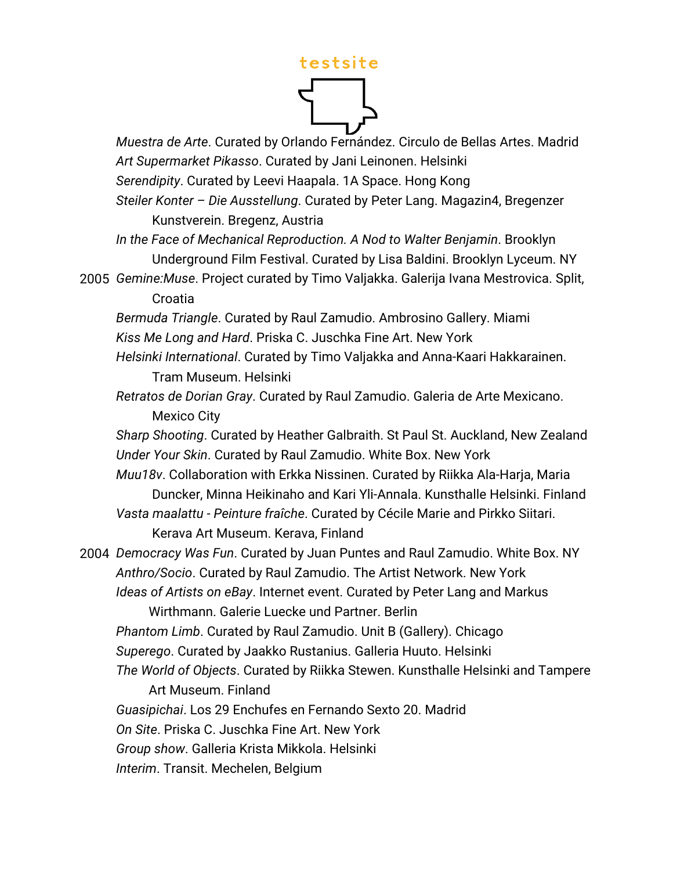

*Muestra de Arte*. Curated by Orlando Fernández. Circulo de Bellas Artes. Madrid *Art Supermarket Pikasso*. Curated by Jani Leinonen. Helsinki *Serendipity*. Curated by Leevi Haapala. 1A Space. Hong Kong *Steiler Konter – Die Ausstellung*. Curated by Peter Lang. Magazin4, Bregenzer Kunstverein. Bregenz, Austria *In the Face of Mechanical Reproduction. A Nod to Walter Benjamin*. Brooklyn Underground Film Festival. Curated by Lisa Baldini. Brooklyn Lyceum. NY 2005 *Gemine:Muse*. Project curated by Timo Valjakka. Galerija Ivana Mestrovica. Split, Croatia *Bermuda Triangle*. Curated by Raul Zamudio. Ambrosino Gallery. Miami *Kiss Me Long and Hard*. Priska C. Juschka Fine Art. New York *Helsinki International*. Curated by Timo Valjakka and Anna-Kaari Hakkarainen. Tram Museum. Helsinki *Retratos de Dorian Gray*. Curated by Raul Zamudio. Galeria de Arte Mexicano. Mexico City *Sharp Shooting*. Curated by Heather Galbraith. St Paul St. Auckland, New Zealand *Under Your Skin*. Curated by Raul Zamudio. White Box. New York *Muu18v*. Collaboration with Erkka Nissinen. Curated by Riikka Ala-Harja, Maria Duncker, Minna Heikinaho and Kari Yli-Annala. Kunsthalle Helsinki. Finland *Vasta maalattu - Peinture fraîche*. Curated by Cécile Marie and Pirkko Siitari. Kerava Art Museum. Kerava, Finland 2004 *Democracy Was Fun*. Curated by Juan Puntes and Raul Zamudio. White Box. NY *Anthro/Socio*. Curated by Raul Zamudio. The Artist Network. New York *Ideas of Artists on eBay*. Internet event. Curated by Peter Lang and Markus Wirthmann. Galerie Luecke und Partner. Berlin *Phantom Limb*. Curated by Raul Zamudio. Unit B (Gallery). Chicago *Superego*. Curated by Jaakko Rustanius. Galleria Huuto. Helsinki *The World of Objects*. Curated by Riikka Stewen. Kunsthalle Helsinki and Tampere Art Museum. Finland *Guasipichai*. Los 29 Enchufes en Fernando Sexto 20. Madrid *On Site*. Priska C. Juschka Fine Art. New York *Group show*. Galleria Krista Mikkola. Helsinki *Interim*. Transit. Mechelen, Belgium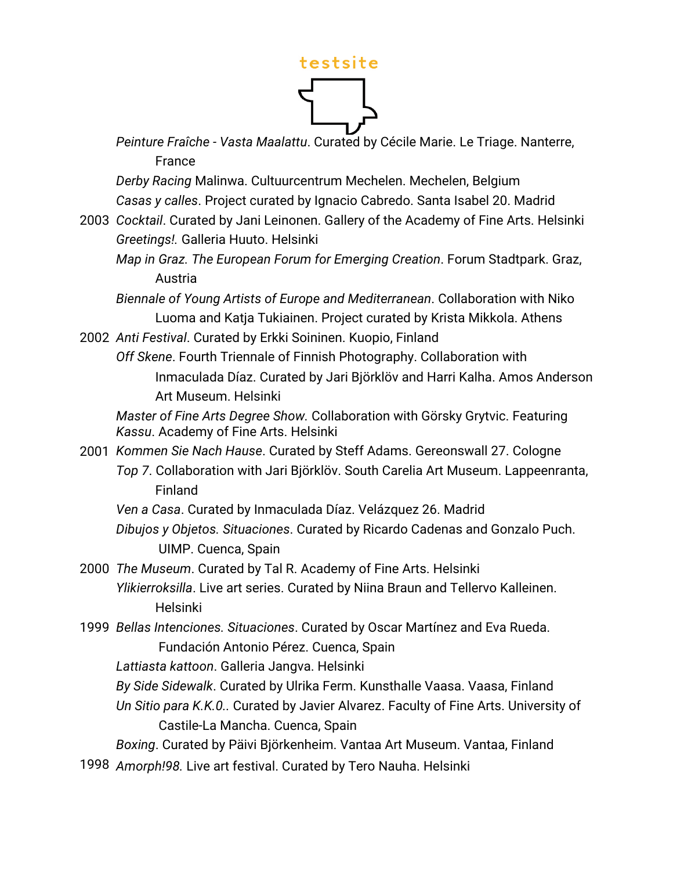

*Peinture Fraîche - Vasta Maalattu*. Curated by Cécile Marie. Le Triage. Nanterre, France

*Derby Racing* Malinwa. Cultuurcentrum Mechelen. Mechelen, Belgium *Casas y calles*. Project curated by Ignacio Cabredo. Santa Isabel 20. Madrid

2003 *Cocktail*. Curated by Jani Leinonen. Gallery of the Academy of Fine Arts. Helsinki *Greetings!.* Galleria Huuto. Helsinki

*Map in Graz. The European Forum for Emerging Creation*. Forum Stadtpark. Graz, Austria

*Biennale of Young Artists of Europe and Mediterranean*. Collaboration with Niko Luoma and Katja Tukiainen. Project curated by Krista Mikkola. Athens

2002 *Anti Festival*. Curated by Erkki Soininen. Kuopio, Finland

*Off Skene*. Fourth Triennale of Finnish Photography. Collaboration with Inmaculada Díaz. Curated by Jari Björklöv and Harri Kalha. Amos Anderson Art Museum. Helsinki

*Master of Fine Arts Degree Show.* Collaboration with Görsky Grytvic. Featuring *Kassu*. Academy of Fine Arts. Helsinki

2001 *Kommen Sie Nach Hause*. Curated by Steff Adams. Gereonswall 27. Cologne *Top 7*. Collaboration with Jari Björklöv. South Carelia Art Museum. Lappeenranta, Finland

*Ven a Casa*. Curated by Inmaculada Díaz. Velázquez 26. Madrid

*Dibujos y Objetos. Situaciones*. Curated by Ricardo Cadenas and Gonzalo Puch. UIMP. Cuenca, Spain

2000 *The Museum*. Curated by Tal R. Academy of Fine Arts. Helsinki *Ylikierroksilla*. Live art series. Curated by Niina Braun and Tellervo Kalleinen. Helsinki

1999 *Bellas Intenciones. Situaciones*. Curated by Oscar Martínez and Eva Rueda. Fundación Antonio Pérez. Cuenca, Spain

*Lattiasta kattoon*. Galleria Jangva. Helsinki

- *By Side Sidewalk*. Curated by Ulrika Ferm. Kunsthalle Vaasa. Vaasa, Finland
- *Un Sitio para K.K.0..* Curated by Javier Alvarez. Faculty of Fine Arts. University of Castile-La Mancha. Cuenca, Spain

*Boxing*. Curated by Päivi Björkenheim. Vantaa Art Museum. Vantaa, Finland 1998 *Amorph!98.* Live art festival. Curated by Tero Nauha. Helsinki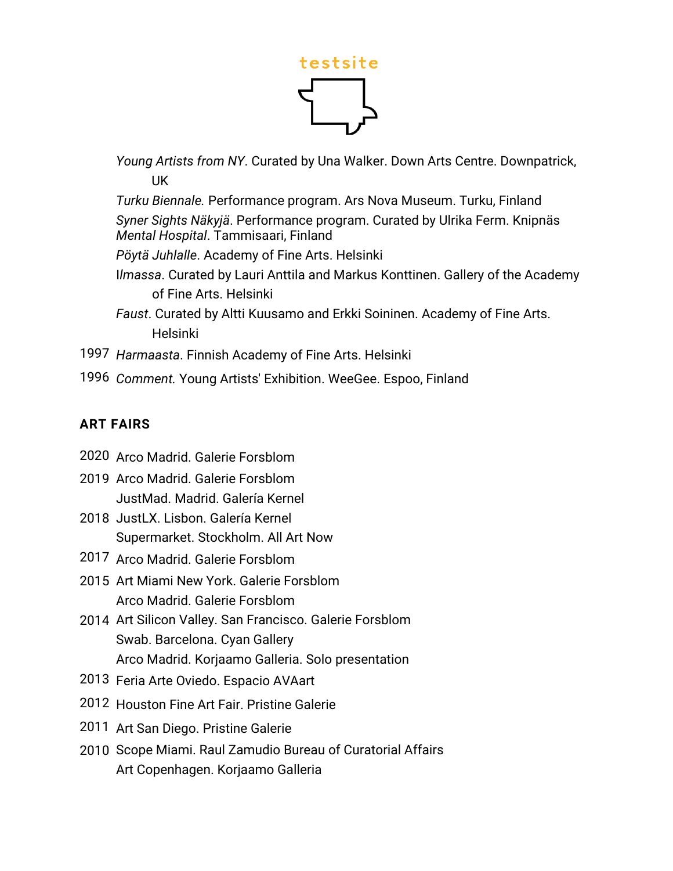

*Young Artists from NY*. Curated by Una Walker. Down Arts Centre. Downpatrick, UK

*Turku Biennale.* Performance program. Ars Nova Museum. Turku, Finland *Syner Sights Näkyjä*. Performance program. Curated by Ulrika Ferm. Knipnäs *Mental Hospital*. Tammisaari, Finland

*Pöytä Juhlalle*. Academy of Fine Arts. Helsinki

- I*lmassa*. Curated by Lauri Anttila and Markus Konttinen. Gallery of the Academy of Fine Arts. Helsinki
- *Faust*. Curated by Altti Kuusamo and Erkki Soininen. Academy of Fine Arts. Helsinki
- 1997 *Harmaasta*. Finnish Academy of Fine Arts. Helsinki
- 1996 *Comment.* Young Artists' Exhibition. WeeGee. Espoo, Finland

#### **ART FAIRS**

- 2020 Arco Madrid. Galerie Forsblom
- 2019 Arco Madrid. Galerie Forsblom JustMad. Madrid. Galería Kernel
- 2018 JustLX. Lisbon. Galería Kernel Supermarket. Stockholm. All Art Now
- 2017 Arco Madrid. Galerie Forsblom
- 2015 Art Miami New York. Galerie Forsblom Arco Madrid. Galerie Forsblom
- 2014 Art Silicon Valley. San Francisco. Galerie Forsblom Swab. Barcelona. Cyan Gallery Arco Madrid. Korjaamo Galleria. Solo presentation
- 2013 Feria Arte Oviedo. Espacio AVAart
- 2012 Houston Fine Art Fair. Pristine Galerie
- 2011 Art San Diego. Pristine Galerie
- 2010 Scope Miami. Raul Zamudio Bureau of Curatorial Affairs Art Copenhagen. Korjaamo Galleria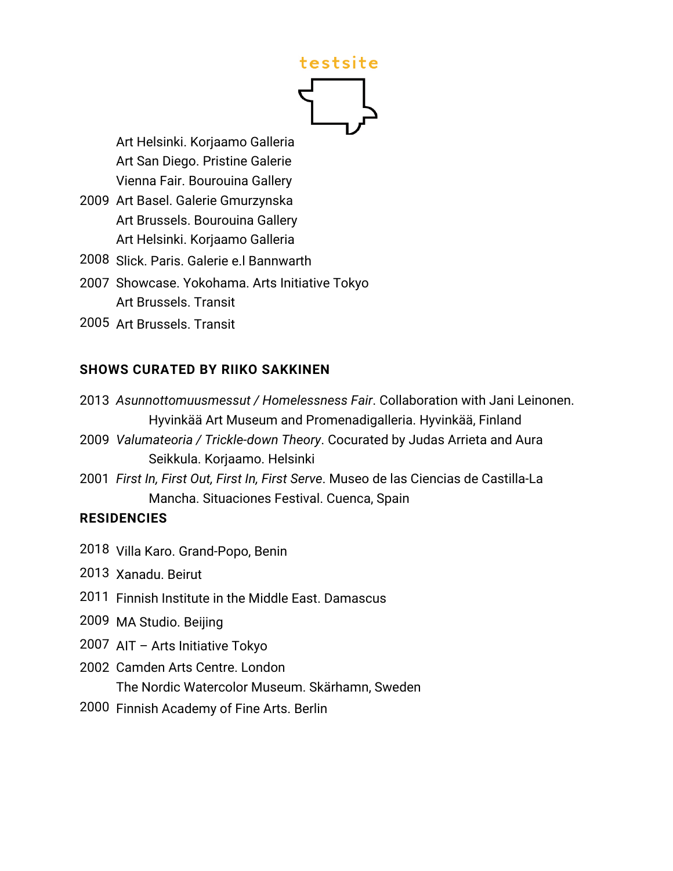Art Helsinki. Korjaamo Galleria Art San Diego. Pristine Galerie Vienna Fair. Bourouina Gallery

- 2009 Art Basel. Galerie Gmurzynska Art Brussels. Bourouina Gallery Art Helsinki. Korjaamo Galleria
- 2008 Slick. Paris. Galerie e.l Bannwarth
- 2007 Showcase. Yokohama. Arts Initiative Tokyo Art Brussels. Transit
- 2005 Art Brussels. Transit

#### **SHOWS CURATED BY RIIKO SAKKINEN**

2013 *Asunnottomuusmessut / Homelessness Fair*. Collaboration with Jani Leinonen. Hyvinkää Art Museum and Promenadigalleria. Hyvinkää, Finland

2009 *Valumateoria / Trickle-down Theory*. Cocurated by Judas Arrieta and Aura Seikkula. Korjaamo. Helsinki

2001 *First In, First Out, First In, First Serve*. Museo de las Ciencias de Castilla-La Mancha. Situaciones Festival. Cuenca, Spain

#### **RESIDENCIES**

2018 Villa Karo. Grand-Popo, Benin

2013 Xanadu. Beirut

- 2011 Finnish Institute in the Middle East. Damascus
- 2009 MA Studio. Beijing

2007 AIT – Arts Initiative Tokyo

- 2002 Camden Arts Centre. London The Nordic Watercolor Museum. Skärhamn, Sweden
- 2000 Finnish Academy of Fine Arts. Berlin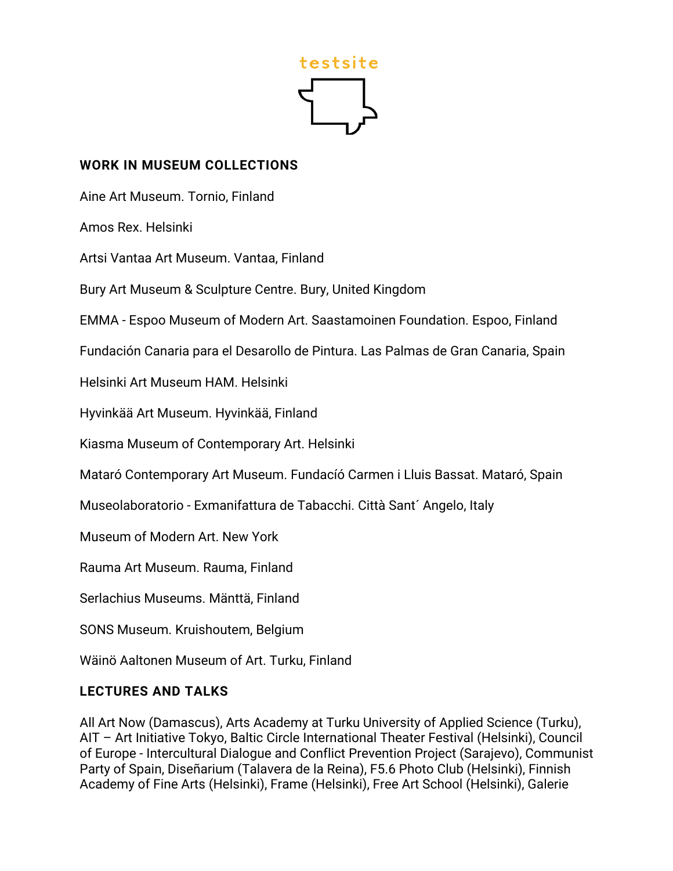

#### **WORK IN MUSEUM COLLECTIONS**

Aine Art Museum. Tornio, Finland

Amos Rex. Helsinki

Artsi Vantaa Art Museum. Vantaa, Finland

Bury Art Museum & Sculpture Centre. Bury, United Kingdom

EMMA - Espoo Museum of Modern Art. Saastamoinen Foundation. Espoo, Finland

Fundación Canaria para el Desarollo de Pintura. Las Palmas de Gran Canaria, Spain

Helsinki Art Museum HAM. Helsinki

Hyvinkää Art Museum. Hyvinkää, Finland

Kiasma Museum of Contemporary Art. Helsinki

Mataró Contemporary Art Museum. Fundacíó Carmen i Lluis Bassat. Mataró, Spain

Museolaboratorio - Exmanifattura de Tabacchi. Città Sant´ Angelo, Italy

Museum of Modern Art. New York

Rauma Art Museum. Rauma, Finland

Serlachius Museums. Mänttä, Finland

SONS Museum. Kruishoutem, Belgium

Wäinö Aaltonen Museum of Art. Turku, Finland

#### **LECTURES AND TALKS**

All Art Now (Damascus), Arts Academy at Turku University of Applied Science (Turku), AIT – Art Initiative Tokyo, Baltic Circle International Theater Festival (Helsinki), Council of Europe - Intercultural Dialogue and Conflict Prevention Project (Sarajevo), Communist Party of Spain, Diseñarium (Talavera de la Reina), F5.6 Photo Club (Helsinki), Finnish Academy of Fine Arts (Helsinki), Frame (Helsinki), Free Art School (Helsinki), Galerie